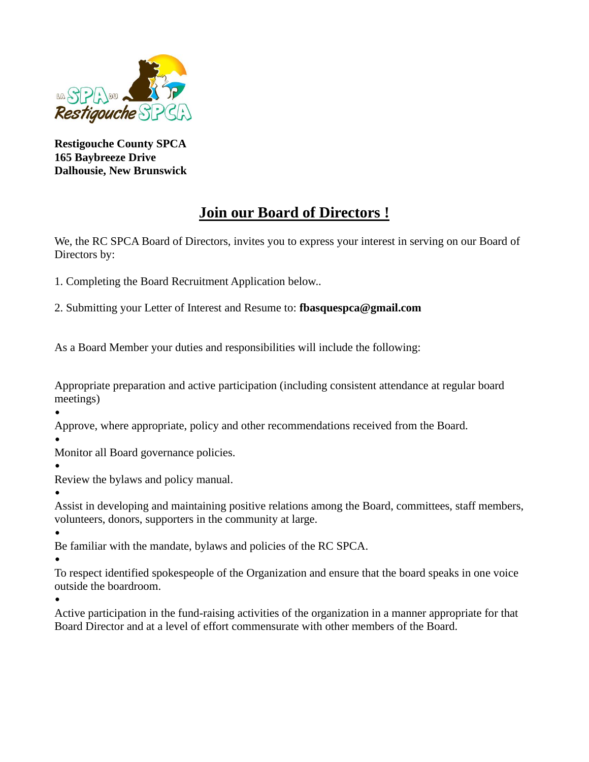

**Restigouche County SPCA 165 Baybreeze Drive Dalhousie, New Brunswick**

## **Join our Board of Directors !**

We, the RC SPCA Board of Directors, invites you to express your interest in serving on our Board of Directors by:

1. Completing the Board Recruitment Application below..

2. Submitting your Letter of Interest and Resume to: **fbasquespca@gmail.com**

As a Board Member your duties and responsibilities will include the following:

Appropriate preparation and active participation (including consistent attendance at regular board meetings)

• Approve, where appropriate, policy and other recommendations received from the Board.

•

Monitor all Board governance policies.

•

Review the bylaws and policy manual.

• Assist in developing and maintaining positive relations among the Board, committees, staff members, volunteers, donors, supporters in the community at large.

• Be familiar with the mandate, bylaws and policies of the RC SPCA.

•

To respect identified spokespeople of the Organization and ensure that the board speaks in one voice outside the boardroom.

•

Active participation in the fund-raising activities of the organization in a manner appropriate for that Board Director and at a level of effort commensurate with other members of the Board.